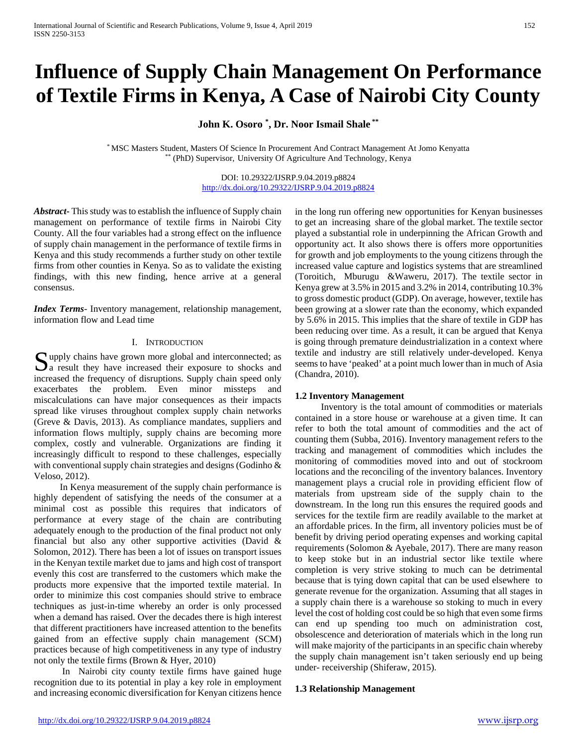# **Influence of Supply Chain Management On Performance of Textile Firms in Kenya, A Case of Nairobi City County**

**John K. Osoro \* , Dr. Noor Ismail Shale \*\***

\* MSC Masters Student, Masters Of Science In Procurement And Contract Management At Jomo Kenyatta \*\* (PhD) Supervisor, University Of Agriculture And Technology, Kenya

> DOI: 10.29322/IJSRP.9.04.2019.p8824 <http://dx.doi.org/10.29322/IJSRP.9.04.2019.p8824>

*Abstract***-** This study was to establish the influence of Supply chain management on performance of textile firms in Nairobi City County. All the four variables had a strong effect on the influence of supply chain management in the performance of textile firms in Kenya and this study recommends a further study on other textile firms from other counties in Kenya. So as to validate the existing findings, with this new finding, hence arrive at a general consensus.

*Index Terms*- Inventory management, relationship management, information flow and Lead time

## I. INTRODUCTION

Supply chains have grown more global and interconnected; as a result they have increased their exposure to shocks and  $\Delta$  a result they have increased their exposure to shocks and increased the frequency of disruptions. Supply chain speed only exacerbates the problem. Even minor missteps and miscalculations can have major consequences as their impacts spread like viruses throughout complex supply chain networks (Greve & Davis, 2013). As compliance mandates, suppliers and information flows multiply, supply chains are becoming more complex, costly and vulnerable. Organizations are finding it increasingly difficult to respond to these challenges, especially with conventional supply chain strategies and designs (Godinho & Veloso, 2012).

 In Kenya measurement of the supply chain performance is highly dependent of satisfying the needs of the consumer at a minimal cost as possible this requires that indicators of performance at every stage of the chain are contributing adequately enough to the production of the final product not only financial but also any other supportive activities (David & Solomon, 2012). There has been a lot of issues on transport issues in the Kenyan textile market due to jams and high cost of transport evenly this cost are transferred to the customers which make the products more expensive that the imported textile material. In order to minimize this cost companies should strive to embrace techniques as just-in-time whereby an order is only processed when a demand has raised. Over the decades there is high interest that different practitioners have increased attention to the benefits gained from an effective supply chain management (SCM) practices because of high competitiveness in any type of industry not only the textile firms (Brown & Hyer, 2010)

 In Nairobi city county textile firms have gained huge recognition due to its potential in play a key role in employment and increasing economic diversification for Kenyan citizens hence

in the long run offering new opportunities for Kenyan businesses to get an increasing share of the global market. The textile sector played a substantial role in underpinning the African Growth and opportunity act. It also shows there is offers more opportunities for growth and job employments to the young citizens through the increased value capture and logistics systems that are streamlined (Toroitich, Mburugu &Waweru, 2017). The textile sector in Kenya grew at 3.5% in 2015 and 3.2% in 2014, contributing 10.3% to gross domestic product (GDP). On average, however, textile has been growing at a slower rate than the economy, which expanded by 5.6% in 2015. This implies that the share of textile in GDP has been reducing over time. As a result, it can be argued that Kenya is going through premature deindustrialization in a context where textile and industry are still relatively under-developed. Kenya seems to have 'peaked' at a point much lower than in much of Asia (Chandra, 2010).

#### **1.2 Inventory Management**

 Inventory is the total amount of commodities or materials contained in a store house or warehouse at a given time. It can refer to both the total amount of commodities and the act of counting them (Subba, 2016). Inventory management refers to the tracking and management of commodities which includes the monitoring of commodities moved into and out of stockroom locations and the reconciling of the inventory balances. Inventory management plays a crucial role in providing efficient flow of materials from upstream side of the supply chain to the downstream. In the long run this ensures the required goods and services for the textile firm are readily available to the market at an affordable prices. In the firm, all inventory policies must be of benefit by driving period operating expenses and working capital requirements (Solomon & Ayebale, 2017). There are many reason to keep stoke but in an industrial sector like textile where completion is very strive stoking to much can be detrimental because that is tying down capital that can be used elsewhere to generate revenue for the organization. Assuming that all stages in a supply chain there is a warehouse so stoking to much in every level the cost of holding cost could be so high that even some firms can end up spending too much on administration cost, obsolescence and deterioration of materials which in the long run will make majority of the participants in an specific chain whereby the supply chain management isn't taken seriously end up being under- receivership (Shiferaw, 2015).

## **1.3 Relationship Management**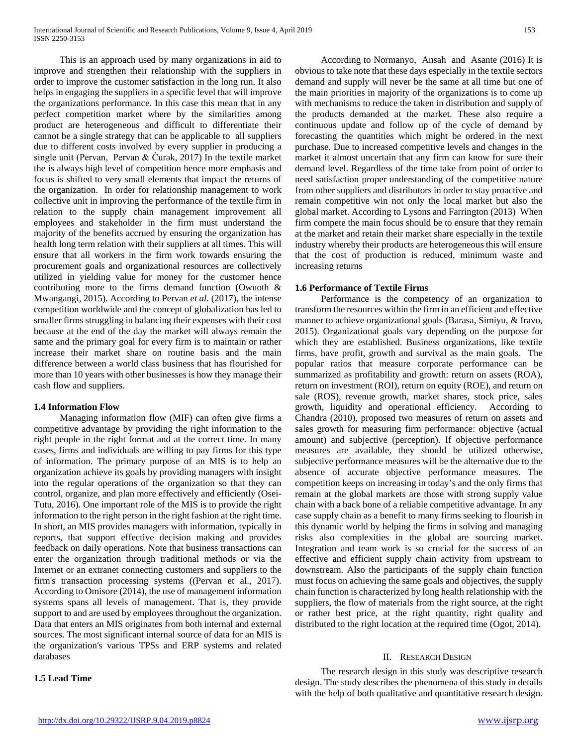This is an approach used by many organizations in aid to improve and strengthen their relationship with the suppliers in order to improve the customer satisfaction in the long run. It also helps in engaging the suppliers in a specific level that will improve the organizations performance. In this case this mean that in any perfect competition market where by the similarities among product are heterogeneous and difficult to differentiate their cannot be a single strategy that can be applicable to all suppliers due to different costs involved by every supplier in producing a single unit (Pervan, Pervan & Ćurak, 2017) In the textile market the is always high level of competition hence more emphasis and focus is shifted to very small elements that impact the returns of the organization. In order for relationship management to work collective unit in improving the performance of the textile firm in relation to the supply chain management improvement all employees and stakeholder in the firm must understand the majority of the benefits accrued by ensuring the organization has health long term relation with their suppliers at all times. This will ensure that all workers in the firm work towards ensuring the procurement goals and organizational resources are collectively utilized in yielding value for money for the customer hence contributing more to the firms demand function (Owuoth & Mwangangi, 2015). According to Pervan *et al.* (2017), the intense competition worldwide and the concept of globalization has led to smaller firms struggling in balancing their expenses with their cost because at the end of the day the market will always remain the same and the primary goal for every firm is to maintain or rather increase their market share on routine basis and the main difference between a world class business that has flourished for more than 10 years with other businesses is how they manage their cash flow and suppliers.

## **1.4 Information Flow**

 Managing information flow (MIF) can often give firms a competitive advantage by providing the right information to the right people in the right format and at the correct time. In many cases, firms and individuals are willing to pay firms for this type of information. The primary purpose of an MIS is to help an organization achieve its goals by providing managers with insight into the regular operations of the organization so that they can control, organize, and plan more effectively and efficiently (Osei-Tutu, 2016). One important role of the MIS is to provide the right information to the right person in the right fashion at the right time. In short, an MIS provides managers with information, typically in reports, that support effective decision making and provides feedback on daily operations. Note that business transactions can enter the organization through traditional methods or via the Internet or an extranet connecting customers and suppliers to the firm's transaction processing systems ((Pervan et al., 2017). According to Omisore (2014), the use of management information systems spans all levels of management. That is, they provide support to and are used by employees throughout the organization. Data that enters an MIS originates from both internal and external sources. The most significant internal source of data for an MIS is the organization's various TPSs and ERP systems and related databases

# **1.5 Lead Time**

 According to Normanyo, Ansah and Asante (2016) It is obvious to take note that these days especially in the textile sectors demand and supply will never be the same at all time but one of the main priorities in majority of the organizations is to come up with mechanisms to reduce the taken in distribution and supply of the products demanded at the market. These also require a continuous update and follow up of the cycle of demand by forecasting the quantities which might be ordered in the next purchase. Due to increased competitive levels and changes in the market it almost uncertain that any firm can know for sure their demand level. Regardless of the time take from point of order to need satisfaction proper understanding of the competitive nature from other suppliers and distributors in order to stay proactive and remain competitive win not only the local market but also the global market. According to Lysons and Farrington (2013) When firm compete the main focus should be to ensure that they remain at the market and retain their market share especially in the textile industry whereby their products are heterogeneous this will ensure that the cost of production is reduced, minimum waste and increasing returns

# **1.6 Performance of Textile Firms**

 Performance is the competency of an organization to transform the resources within the firm in an efficient and effective manner to achieve organizational goals (Barasa, Simiyu, & Iravo, 2015). Organizational goals vary depending on the purpose for which they are established. Business organizations, like textile firms, have profit, growth and survival as the main goals. The popular ratios that measure corporate performance can be summarized as profitability and growth: return on assets (ROA), return on investment (ROI), return on equity (ROE), and return on sale (ROS), revenue growth, market shares, stock price, sales growth, liquidity and operational efficiency. According to Chandra (2010), proposed two measures of return on assets and sales growth for measuring firm performance: objective (actual amount) and subjective (perception). If objective performance measures are available, they should be utilized otherwise, subjective performance measures will be the alternative due to the absence of accurate objective performance measures. The competition keeps on increasing in today's and the only firms that remain at the global markets are those with strong supply value chain with a back bone of a reliable competitive advantage. In any case supply chain as a benefit to many firms seeking to flourish in this dynamic world by helping the firms in solving and managing risks also complexities in the global are sourcing market. Integration and team work is so crucial for the success of an effective and efficient supply chain activity from upstream to downstream. Also the participants of the supply chain function must focus on achieving the same goals and objectives, the supply chain function is characterized by long health relationship with the suppliers, the flow of materials from the right source, at the right or rather best price, at the right quantity, right quality and distributed to the right location at the required time (Ogot, 2014).

## II. RESEARCH DESIGN

 The research design in this study was descriptive research design. The study describes the phenomena of this study in details with the help of both qualitative and quantitative research design.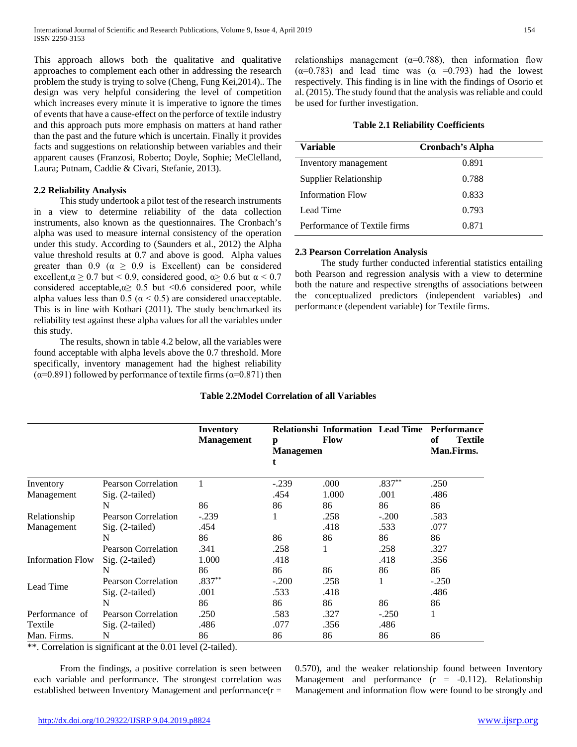This approach allows both the qualitative and qualitative approaches to complement each other in addressing the research problem the study is trying to solve (Cheng, Fung Kei,2014).. The design was very helpful considering the level of competition which increases every minute it is imperative to ignore the times of events that have a cause-effect on the perforce of textile industry and this approach puts more emphasis on matters at hand rather than the past and the future which is uncertain. Finally it provides facts and suggestions on relationship between variables and their apparent causes (Franzosi, Roberto; Doyle, Sophie; MeClelland, Laura; Putnam, Caddie & Civari, Stefanie, 2013).

# **2.2 Reliability Analysis**

 This study undertook a pilot test of the research instruments in a view to determine reliability of the data collection instruments, also known as the questionnaires. The Cronbach's alpha was used to measure internal consistency of the operation under this study. According to (Saunders et al., 2012) the Alpha value threshold results at 0.7 and above is good. Alpha values greater than 0.9 ( $\alpha \ge 0.9$  is Excellent) can be considered excellent, $\alpha \ge 0.7$  but < 0.9, considered good,  $\alpha \ge 0.6$  but  $\alpha \le 0.7$ considered acceptable, α≥ 0.5 but <0.6 considered poor, while alpha values less than 0.5 ( $\alpha$  < 0.5) are considered unacceptable. This is in line with Kothari (2011). The study benchmarked its reliability test against these alpha values for all the variables under this study.

 The results, shown in table 4.2 below, all the variables were found acceptable with alpha levels above the 0.7 threshold. More specifically, inventory management had the highest reliability ( $\alpha$ =0.891) followed by performance of textile firms ( $\alpha$ =0.871) then relationships management ( $\alpha$ =0.788), then information flow  $(\alpha=0.783)$  and lead time was  $(\alpha =0.793)$  had the lowest respectively. This finding is in line with the findings of Osorio et al. (2015). The study found that the analysis was reliable and could be used for further investigation.

## **Table 2.1 Reliability Coefficients**

| Variable                     | Cronbach's Alpha |
|------------------------------|------------------|
| Inventory management         | 0.891            |
| Supplier Relationship        | 0.788            |
| <b>Information Flow</b>      | 0.833            |
| Lead Time                    | 0.793            |
| Performance of Textile firms | 0.871            |

## **2.3 Pearson Correlation Analysis**

 The study further conducted inferential statistics entailing both Pearson and regression analysis with a view to determine both the nature and respective strengths of associations between the conceptualized predictors (independent variables) and performance (dependent variable) for Textile firms.

# **Table 2.2Model Correlation of all Variables**

|                         |                            | Inventory<br><b>Management</b> | p<br><b>Managemen</b><br>t | <b>Relationshi Information Lead Time</b><br><b>Flow</b> |          | <b>Performance</b><br>оf<br><b>Textile</b><br>Man.Firms. |
|-------------------------|----------------------------|--------------------------------|----------------------------|---------------------------------------------------------|----------|----------------------------------------------------------|
| Inventory               | <b>Pearson Correlation</b> |                                | $-.239$                    | .000                                                    | $.837**$ | .250                                                     |
| Management              | $Sig. (2-tailed)$          |                                | .454                       | 1.000                                                   | .001     | .486                                                     |
|                         | N                          | 86                             | 86                         | 86                                                      | 86       | 86                                                       |
| Relationship            | <b>Pearson Correlation</b> | $-.239$                        |                            | .258                                                    | $-.200$  | .583                                                     |
| Management              | $Sig. (2-tailed)$          | .454                           |                            | .418                                                    | .533     | .077                                                     |
|                         | N                          | 86                             | 86                         | 86                                                      | 86       | 86                                                       |
|                         | <b>Pearson Correlation</b> | .341                           | .258                       |                                                         | .258     | .327                                                     |
| <b>Information Flow</b> | $Sig. (2-tailed)$          | 1.000                          | .418                       |                                                         | .418     | .356                                                     |
|                         | N                          | 86                             | 86                         | 86                                                      | 86       | 86                                                       |
|                         | Pearson Correlation        | $.837**$                       | $-.200$                    | .258                                                    |          | $-.250$                                                  |
| Lead Time               | Sig. (2-tailed)            | .001                           | .533                       | .418                                                    |          | .486                                                     |
|                         | N                          | 86                             | 86                         | 86                                                      | 86       | 86                                                       |
| Performance of          | <b>Pearson Correlation</b> | .250                           | .583                       | .327                                                    | $-.250$  |                                                          |
| Textile                 | $Sig. (2-tailed)$          | .486                           | .077                       | .356                                                    | .486     |                                                          |
| Man. Firms.             | N                          | 86                             | 86                         | 86                                                      | 86       | 86                                                       |

\*\*. Correlation is significant at the 0.01 level (2-tailed).

 From the findings, a positive correlation is seen between each variable and performance. The strongest correlation was established between Inventory Management and performance $(r =$  0.570), and the weaker relationship found between Inventory Management and performance  $(r = -0.112)$ . Relationship Management and information flow were found to be strongly and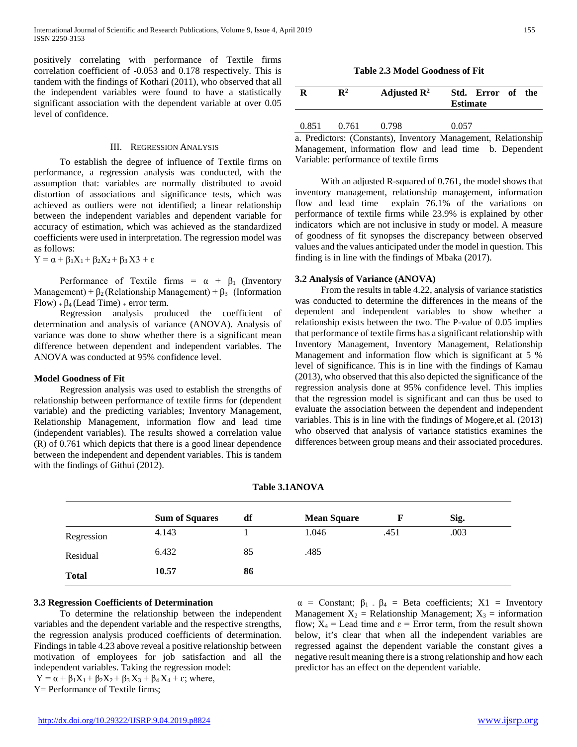positively correlating with performance of Textile firms correlation coefficient of -0.053 and 0.178 respectively. This is tandem with the findings of Kothari (2011), who observed that all the independent variables were found to have a statistically significant association with the dependent variable at over 0.05 level of confidence.

#### III. REGRESSION ANALYSIS

 To establish the degree of influence of Textile firms on performance, a regression analysis was conducted, with the assumption that: variables are normally distributed to avoid distortion of associations and significance tests, which was achieved as outliers were not identified; a linear relationship between the independent variables and dependent variable for accuracy of estimation, which was achieved as the standardized coefficients were used in interpretation. The regression model was as follows:

$$
Y = \alpha + \beta_1 X_1 + \beta_2 X_2 + \beta_3 X3 + \epsilon
$$

Performance of Textile firms =  $\alpha + \beta_1$  (Inventory Management) +  $\beta_2$  (Relationship Management) +  $\beta_3$  (Information  $Flow$ ) +  $\beta$ <sub>4</sub> (Lead Time) + error term.

 Regression analysis produced the coefficient of determination and analysis of variance (ANOVA). Analysis of variance was done to show whether there is a significant mean difference between dependent and independent variables. The ANOVA was conducted at 95% confidence level.

## **Model Goodness of Fit**

 Regression analysis was used to establish the strengths of relationship between performance of textile firms for (dependent variable) and the predicting variables; Inventory Management, Relationship Management, information flow and lead time (independent variables). The results showed a correlation value (R) of 0.761 which depicts that there is a good linear dependence between the independent and dependent variables. This is tandem with the findings of Githui (2012).

**Table 2.3 Model Goodness of Fit**

| R     | $\mathbf{R}^2$ | Adjusted $\mathbb{R}^2$ | Std. Error of the<br><b>Estimate</b> |  |
|-------|----------------|-------------------------|--------------------------------------|--|
| 0.851 | 0.761          | 0.798                   | 0.057                                |  |

a. Predictors: (Constants), Inventory Management, Relationship Management, information flow and lead time b. Dependent Variable: performance of textile firms

 With an adjusted R-squared of 0.761, the model shows that inventory management, relationship management, information flow and lead time explain 76.1% of the variations on performance of textile firms while 23.9% is explained by other indicators which are not inclusive in study or model. A measure of goodness of fit synopses the discrepancy between observed values and the values anticipated under the model in question. This finding is in line with the findings of Mbaka (2017).

#### **3.2 Analysis of Variance (ANOVA)**

 From the results in table 4.22, analysis of variance statistics was conducted to determine the differences in the means of the dependent and independent variables to show whether a relationship exists between the two. The P-value of 0.05 implies that performance of textile firms has a significant relationship with Inventory Management, Inventory Management, Relationship Management and information flow which is significant at 5 % level of significance. This is in line with the findings of Kamau (2013), who observed that this also depicted the significance of the regression analysis done at 95% confidence level. This implies that the regression model is significant and can thus be used to evaluate the association between the dependent and independent variables. This is in line with the findings of Mogere,et al. (2013) who observed that analysis of variance statistics examines the differences between group means and their associated procedures.

|  |  | <b>Table 3.1ANOVA</b> |
|--|--|-----------------------|
|--|--|-----------------------|

|              | <b>Sum of Squares</b> | df | <b>Mean Square</b> |      | Sig. |  |
|--------------|-----------------------|----|--------------------|------|------|--|
| Regression   | 4.143                 |    | 1.046              | .451 | .003 |  |
| Residual     | 6.432                 | 85 | .485               |      |      |  |
| <b>Total</b> | 10.57                 | 86 |                    |      |      |  |

#### **3.3 Regression Coefficients of Determination**

 To determine the relationship between the independent variables and the dependent variable and the respective strengths, the regression analysis produced coefficients of determination. Findings in table 4.23 above reveal a positive relationship between motivation of employees for job satisfaction and all the independent variables. Taking the regression model:  $Y = \alpha + \beta_1 X_1 + \beta_2 X_2 + \beta_3 X_3 + \beta_4 X_4 + \varepsilon$ ; where,

Y= Performance of Textile firms;

 $\alpha$  = Constant;  $\beta_1$ .  $\beta_4$  = Beta coefficients; X1 = Inventory Management  $X_2$  = Relationship Management;  $X_3$  = information flow;  $X_4$  = Lead time and  $\varepsilon$  = Error term, from the result shown below, it's clear that when all the independent variables are regressed against the dependent variable the constant gives a negative result meaning there is a strong relationship and how each predictor has an effect on the dependent variable.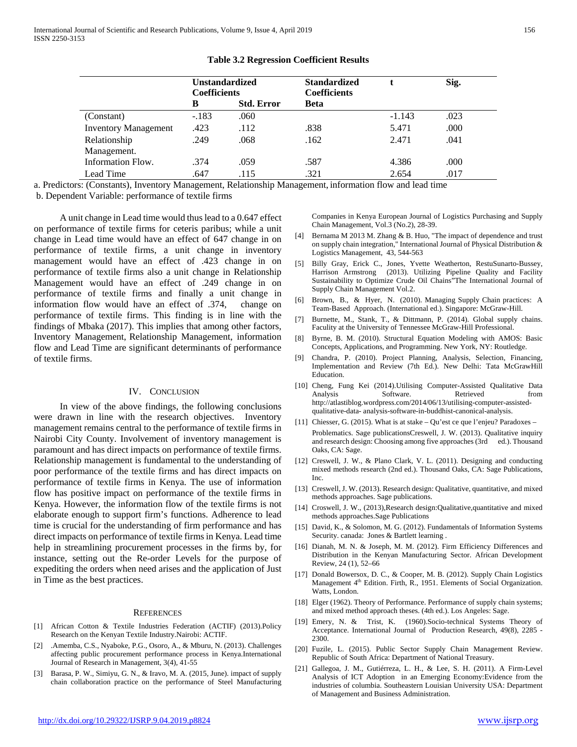|                             | <b>Unstandardized</b><br><b>Coefficients</b> |                   | <b>Standardized</b><br><b>Coefficients</b> |          | Sig. |
|-----------------------------|----------------------------------------------|-------------------|--------------------------------------------|----------|------|
|                             | B                                            | <b>Std. Error</b> | <b>Beta</b>                                |          |      |
| (Constant)                  | $-.183$                                      | .060              |                                            | $-1.143$ | .023 |
| <b>Inventory Management</b> | .423                                         | .112              | .838                                       | 5.471    | .000 |
| Relationship                | .249                                         | .068              | .162                                       | 2.471    | .041 |
| Management.                 |                                              |                   |                                            |          |      |
| Information Flow.           | .374                                         | .059              | .587                                       | 4.386    | .000 |
| Lead Time                   | .647                                         | .115              | .321                                       | 2.654    | .017 |

**Table 3.2 Regression Coefficient Results**

a. Predictors: (Constants), Inventory Management, Relationship Management, information flow and lead time

b. Dependent Variable: performance of textile firms

 A unit change in Lead time would thus lead to a 0.647 effect on performance of textile firms for ceteris paribus; while a unit change in Lead time would have an effect of 647 change in on performance of textile firms, a unit change in inventory management would have an effect of .423 change in on performance of textile firms also a unit change in Relationship Management would have an effect of .249 change in on performance of textile firms and finally a unit change in information flow would have an effect of .374, change on performance of textile firms. This finding is in line with the findings of Mbaka (2017). This implies that among other factors, Inventory Management, Relationship Management, information flow and Lead Time are significant determinants of performance of textile firms.

#### IV. CONCLUSION

 In view of the above findings, the following conclusions were drawn in line with the research objectives. Inventory management remains central to the performance of textile firms in Nairobi City County. Involvement of inventory management is paramount and has direct impacts on performance of textile firms. Relationship management is fundamental to the understanding of poor performance of the textile firms and has direct impacts on performance of textile firms in Kenya. The use of information flow has positive impact on performance of the textile firms in Kenya. However, the information flow of the textile firms is not elaborate enough to support firm's functions. Adherence to lead time is crucial for the understanding of firm performance and has direct impacts on performance of textile firms in Kenya. Lead time help in streamlining procurement processes in the firms by, for instance, setting out the Re-order Levels for the purpose of expediting the orders when need arises and the application of Just in Time as the best practices.

#### **REFERENCES**

- [1] African Cotton & Textile Industries Federation (ACTIF) (2013).Policy Research on the Kenyan Textile Industry.Nairobi: ACTIF.
- [2] .Amemba, C.S., Nyaboke, P.G., Osoro, A., & Mburu, N. (2013). Challenges affecting public procurement performance process in Kenya.International Journal of Research in Management, 3(4), 41-55
- [3] Barasa, P. W., Simiyu, G. N., & Iravo, M. A. (2015, June). impact of supply chain collaboration practice on the performance of Steel Manufacturing

Companies in Kenya European Journal of Logistics Purchasing and Supply Chain Management, Vol.3 (No.2), 28-39.

- [4] Bernama M 2013 M. Zhang & B. Huo, "The impact of dependence and trust on supply chain integration," International Journal of Physical Distribution & Logistics Management, 43, 544-563
- [5] Billy Gray, Erick C., Jones, Yvette Weatherton, RestuSunarto-Bussey, Harrison Armstrong (2013). Utilizing Pipeline Quality and Facility Sustainability to Optimize Crude Oil Chains"The International Journal of Supply Chain Management Vol.2.
- [6] Brown, B., & Hyer, N. (2010). Managing Supply Chain practices: A Team-Based Approach. (International ed.). Singapore: McGraw-Hill.
- [7] Burnette, M., Stank, T., & Dittmann, P. (2014). Global supply chains. Faculity at the University of Tennessee McGraw-Hill Professional.
- [8] Byrne, B. M. (2010). Structural Equation Modeling with AMOS: Basic Concepts, Applications, and Programming. New York, NY: Routledge.
- [9] Chandra, P. (2010). Project Planning, Analysis, Selection, Financing, Implementation and Review (7th Ed.). New Delhi: Tata McGrawHill Education.
- [10] Cheng, Fung Kei (2014).Utilising Computer-Assisted Qualitative Data Analysis Software. Retrieved from http://atlastiblog.wordpress.com/2014/06/13/utilising-computer-assistedqualitative-data- analysis-software-in-buddhist-canonical-analysis.
- [11] Chiesser, G. (2015). What is at stake Qu'est ce que l'enjeu? Paradoxes Problematics. Sage publicationsCreswell, J. W. (2013). Qualitative inquiry and research design: Choosing among five approaches (3rd ed.). Thousand Oaks, CA: Sage.
- [12] Creswell, J. W., & Plano Clark, V. L. (2011). Designing and conducting mixed methods research (2nd ed.). Thousand Oaks, CA: Sage Publications, Inc.
- [13] Creswell, J. W. (2013). Research design: Qualitative, quantitative, and mixed methods approaches. Sage publications.
- [14] Croswell, J. W., (2013), Research design: Qualitative, quantitative and mixed methods approaches.Sage Publications
- [15] David, K., & Solomon, M. G. (2012). Fundamentals of Information Systems Security. canada: Jones & Bartlett learning .
- [16] Dianah, M. N. & Joseph, M. M. (2012). Firm Efficiency Differences and Distribution in the Kenyan Manufacturing Sector. African Development Review, 24 (1), 52–66
- [17] Donald Bowersox, D. C., & Cooper, M. B. (2012). Supply Chain Logistics Management 4<sup>th</sup> Edition. Firth, R., 1951. Elements of Social Organization. Watts, London.
- [18] Elger (1962). Theory of Performance. Performance of supply chain systems; and mixed method approach theses. (4th ed.). Los Angeles: Sage.
- [19] Emery, N. & Trist, K. (1960).Socio-technical Systems Theory of Acceptance. International Journal of Production Research, 49(8), 2285 - 2300.
- [20] Fuzile, L. (2015). Public Sector Supply Chain Management Review. Republic of South Africa: Department of National Treasury.
- [21] Gallegoa, J. M., Gutiérreza, L. H., & Lee, S. H. (2011). A Firm-Level Analysis of ICT Adoption in an Emerging Economy:Evidence from the industries of columbia. Southeastern Louisian University USA: Department of Management and Business Administration.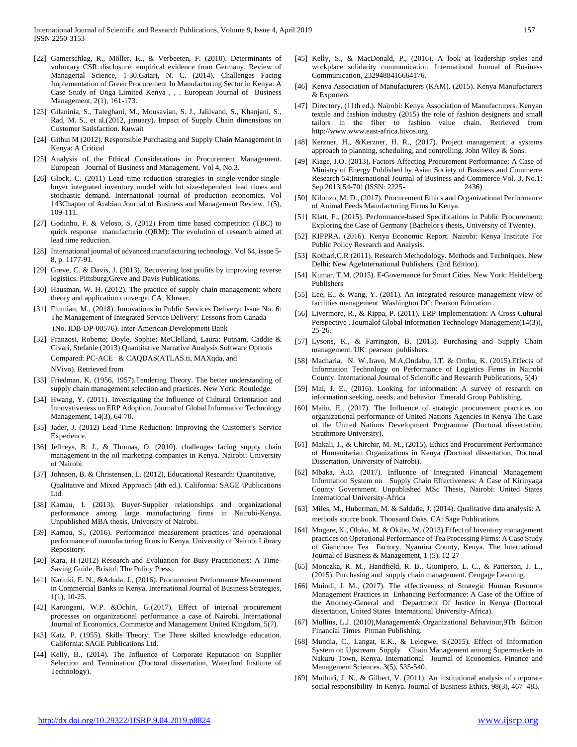- [22] Gamerschlag, R., Möller, K., & Verbeeten, F. (2010). Determinants of voluntary CSR disclosure: empirical evidence from Germany. Review of Managerial Science, 1-30.Gatari, N. C. (2014). Challenges Facing Implementation of Green Procurement In Manufacturing Sector in Kenya: A Case Study of Unga Limited Kenya , , . European Journal of Business Management, 2(1), 161-173.
- [23] Gilaninia, S., Taleghani, M., Mousavian, S. J., Jalilvand, S., Khanjani, S., Rad, M. S., et al.(2012, january). Impact of Supply Chain dimensions on Customer Satisfaction. Kuwait
- [24] Githui M (2012). Responsible Purchasing and Supply Chain Management in Kenya: A Critical
- [25] Analysis of the Ethical Considerations in Procurement Management. European Journal of Business and Management. Vol 4, No.3.
- [26] Glock, C. (2011) Lead time reduction strategies in single-vendor-singlebuyer integrated inventory model with lot size-dependent lead times and stochastic demand. International journal of production economics. Vol 143Chapter of Arabian Journal of Business and Management Review, 1(5), 109-111.
- [27] Godinho, F. & Veloso, S. (2012) From time based competition (TBC) to quick response manufacturin (QRM): The evolution of research aimed at lead time reduction.
- [28] International journal of advanced manufacturing technology. Vol 64, issue 5-8, p. 1177-91.
- [29] Greve, C. & Davis, J. (2013). Recovering lost profits by improving reverse logistics. Pittsburg;Greve and Davis Publications.
- [30] Hausman, W. H. (2012). The practice of supply chain management: where theory and application converge. CA; Kluwer.
- [31] Flumian, M., (2018). Innovations in Public Services Delivery: Issue No. 6: The Management of Integrated Service Delivery: Lessons from Canada (No. IDB-DP-00576). Inter-American Development Bank
- [32] Franzosi, Roberto; Doyle, Sophie; MeClelland, Laura; Putnam, Caddie & Civari, Stefanie (2013).Quantitative Narrative Analysis Software Options Compared: PC-ACE & CAQDAS(ATLAS.ti, MAXqda, and NVivo). Retrieved from
- [33] Friedman, K. (1956, 1957). Tendering Theory. The better understanding of supply chain management selection and practices. New York: Routledge.
- [34] Hwang, Y. (2011). Investigating the Influence of Cultural Orientation and Innovativeness on ERP Adoption. Journal of Global Information Technology Management, 14(3), 64-70.
- [35] Jader, J. (2012) Lead Time Reduction: Improving the Customer's Service Experience.
- [36] Jeffreys, B. J., & Thomas, O. (2010). challenges facing supply chain management in the oil marketing companies in Kenya. Nairobi: University of Nairobi.
- [37] Johnson, B. & Christensen, L. (2012), Educational Research: Quantitative, Qualitative and Mixed Approach (4th ed.). California: SAGE \Publications Ltd.
- [38] Kamau, I. (2013). Buyer-Supplier relationships and organizational performance among large manufacturing firms in Nairobi-Kenya. Unpublished MBA thesis, University of Nairobi.
- [39] Kamau, S., (2016). Performance measurement practices and operational performance of manufacturing firms in Kenya. University of Nairobi Library Repository.
- [40] Kara, H (2012) Research and Evaluation for Busy Practitioners: A Time-Saving Guide, Bristol: The Policy Press.
- [41] Kariuki, E. N., &Aduda, J., (2016). Procurement Performance Measurement in Commercial Banks in Kenya. International Journal of Business Strategies, 1(1), 10-25.
- [42] Karungani, W.P. &Ochiri, G.(2017). Effect of internal procurement processes on organizational performance a case of Nairobi. International Journal of Economics, Commerce and Management United Kingdom, 5(7).
- [43] Katz. P. (1955). Skills Theory. The Three skilled knowledge education. California: SAGE Publications Ltd.
- [44] Kelly, B., (2014). The Influence of Corporate Reputation on Supplier Selection and Termination (Doctoral dissertation, Waterford Institute of Technology).
- [45] Kelly, S., & MacDonald, P., (2016). A look at leadership styles and workplace solidarity communication. International Journal of Business Communication, 2329488416664176.
- [46] Kenya Association of Manufacturers (KAM). (2015). Kenya Manufacturers & Exporters
- [47] Directory, (11th ed.). Nairobi: Kenya Association of Manufacturers. Kenyan textile and fashion industry (2015) the role of fashion designers and small tailors in the fiber to fashion value chain. Retrieved from http://www.www.east-africa.hivos.org
- [48] Kerzner, H., &Kerzner, H. R., (2017). Project management: a systems approach to planning, scheduling, and controlling. John Wiley & Sons.
- [49] Kiage, J.O. (2013). Factors Affecting Procurement Performance: A Case of Ministry of Energy Published by Asian Society of Business and Commerce Research 54;International Journal of Business and Commerce Vol. 3, No.1: Sep 2013[54-70] (ISSN: 2225- 2436)
- [50] Kilonzo, M. D., (2017). Procurement Ethics and Organizational Performance of Animal Feeds Manufacturing Firms In Kenya.
- [51] Klatt, F., (2015). Performance-based Specifications in Public Procurement: Exploring the Case of Germany (Bachelor's thesis, University of Twente).
- [52] KIPPRA. (2016). Kenya Economic Report. Nairobi: Kenya Institute For Public Policy Research and Analysis.
- [53] Kothari, C.R (2011). Research Methodology. Methods and Techniques. New Delhi: New AgeInternational Publishers. (2nd Edition).
- [54] Kumar, T.M. (2015). E-Governance for Smart Cities. New York: Heidelberg Publishers
- [55] Lee, E., & Wang, Y. (2011). An integrated resource management view of facilities management Washington DC: Pearson Education .
- [56] Livermore, R., & Rippa, P. (2011). ERP Implementation: A Cross Cultural Perspective . Journalof Global Information Technology Management(14(3)), 25-26.
- [57] Lysons, K., & Farrington, B. (2013). Purchasing and Supply Chain management. UK: pearson publishers.
- [58] Macharia, N. W.,Iravo, M.A,Ondabu, I.T. & Ombu, K. (2015).Effects of Information Technology on Performance of Logistics Firms in Nairobi County. International Journal of Scientific and Research Publications, 5(4)
- [59] Mai, J. E., (2016). Looking for information: A survey of research on information seeking, needs, and behavior. Emerald Group Publishing.
- [60] Mailu, E., (2017). The Influence of strategic procurement practices on organizational performance of United Nations Agencies in Kenya-The Case of the United Nations Development Programme (Doctoral dissertation, Strathmore University).
- [61] Makali, J., & Chirchir, M. M., (2015). Ethics and Procurement Performance of Humanitarian Organizations in Kenya (Doctoral dissertation, Doctoral Dissertation, University of Nairobi).
- [62] Mbaka, A.O. (2017). Influence of Integrated Financial Management Information System on Supply Chain Effectiveness: A Case of Kirinyaga County Government. Unpublished MSc Thesis, Nairobi: United States International University-Africa
- [63] Miles, M., Huberman, M. & Saldaña, J. (2014). Qualitative data analysis: A methods source book. Thousand Oaks, CA: Sage Publications
- [64] Mogere, K., Oloko, M. & Okibo, W. (2013).Effect of Inventory management practices on Operational Performance of Tea Processing Firms: A Case Study of Gianchore Tea Factory, Nyamira County, Kenya. The International Journal of Business & Management, 1 (5), 12-27
- [65] Monczka, R. M., Handfield, R. B., Giunipero, L. C., & Patterson, J. L., (2015). Purchasing and supply chain management. Cengage Learning.
- [66] Muindi, J. M., (2017). The effectiveness of Strategic Human Resource Management Practices in Enhancing Performance: A Case of the Office of the Attorney-General and Department Of Justice in Kenya (Doctoral dissertation, United States International University-Africa).
- [67] Mullins, L.J. (2010),Management& Organizational Behaviour,9Th Edition Financial Times Pitman Publishing.
- [68] Mundia, C., Langat, E.K., & Lelegwe, S.(2015). Effect of Information System on Upstream Supply Chain Management among Supermarkets in Nakuru Town, Kenya. International Journal of Economics, Finance and Management Sciences. 3(5), 535-540.
- [69] Muthuri, J. N., & Gilbert, V. (2011). An institutional analysis of corporate social responsibility In Kenya. Journal of Business Ethics, 98(3), 467–483.